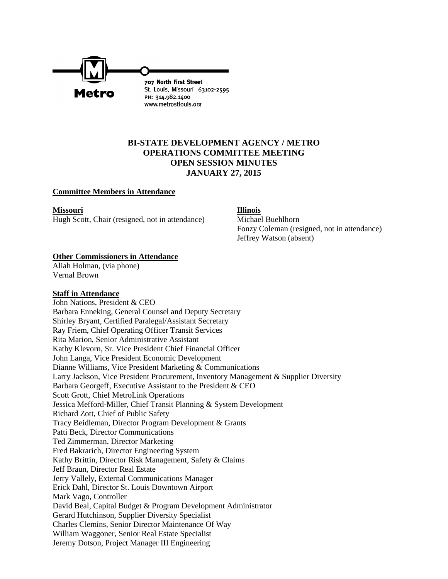

# **BI-STATE DEVELOPMENT AGENCY / METRO OPERATIONS COMMITTEE MEETING OPEN SESSION MINUTES JANUARY 27, 2015**

#### **Committee Members in Attendance**

**Missouri Illinois** Hugh Scott, Chair (resigned, not in attendance) Michael Buehlhorn

Fonzy Coleman (resigned, not in attendance) Jeffrey Watson (absent)

## **Other Commissioners in Attendance**

Aliah Holman, (via phone) Vernal Brown

#### **Staff in Attendance**

John Nations, President & CEO Barbara Enneking, General Counsel and Deputy Secretary Shirley Bryant, Certified Paralegal/Assistant Secretary Ray Friem, Chief Operating Officer Transit Services Rita Marion, Senior Administrative Assistant Kathy Klevorn, Sr. Vice President Chief Financial Officer John Langa, Vice President Economic Development Dianne Williams, Vice President Marketing & Communications Larry Jackson, Vice President Procurement, Inventory Management & Supplier Diversity Barbara Georgeff, Executive Assistant to the President & CEO Scott Grott, Chief MetroLink Operations Jessica Mefford-Miller, Chief Transit Planning & System Development Richard Zott, Chief of Public Safety Tracy Beidleman, Director Program Development & Grants Patti Beck, Director Communications Ted Zimmerman, Director Marketing Fred Bakrarich, Director Engineering System Kathy Brittin, Director Risk Management, Safety & Claims Jeff Braun, Director Real Estate Jerry Vallely, External Communications Manager Erick Dahl, Director St. Louis Downtown Airport Mark Vago, Controller David Beal, Capital Budget & Program Development Administrator Gerard Hutchinson, Supplier Diversity Specialist Charles Clemins, Senior Director Maintenance Of Way William Waggoner, Senior Real Estate Specialist Jeremy Dotson, Project Manager III Engineering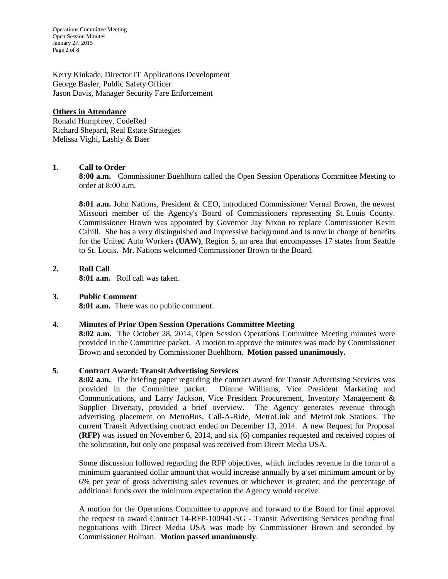Operations Committee Meeting Open Session Minutes January 27, 2015 Page 2 of 8

Kerry Kinkade, Director IT Applications Development George Basler, Public Safety Officer Jason Davis, Manager Security Fare Enforcement

#### **Others in Attendance**

Ronald Humphrey, CodeRed Richard Shepard, Real Estate Strategies Melissa Vighi, Lashly & Baer

# **1. Call to Order**

**8:00 a.m.** Commissioner Buehlhorn called the Open Session Operations Committee Meeting to order at 8:00 a.m.

**8:01 a.m.** John Nations, President & CEO, introduced Commissioner Vernal Brown, the newest Missouri member of the Agency's Board of Commissioners representing St. Louis County. Commissioner Brown was appointed by Governor Jay Nixon to replace Commissioner Kevin Cahill. She has a very distinguished and impressive background and is now in charge of benefits for the United Auto Workers **(UAW)**, Region 5, an area that encompasses 17 states from Seattle to St. Louis. Mr. Nations welcomed Commissioner Brown to the Board.

#### **2. Roll Call 8:01 a.m.** Roll call was taken.

## **3. Public Comment**

**8:01 a.m.** There was no public comment.

## **4. Minutes of Prior Open Session Operations Committee Meeting**

**8:02 a.m.** The October 28, 2014, Open Session Operations Committee Meeting minutes were provided in the Committee packet. A motion to approve the minutes was made by Commissioner Brown and seconded by Commissioner Buehlhorn. **Motion passed unanimously.**

## **5. Contract Award: Transit Advertising Services**

**8:02 a.m.** The briefing paper regarding the contract award for Transit Advertising Services was provided in the Committee packet. Dianne Williams, Vice President Marketing and Communications, and Larry Jackson, Vice President Procurement, Inventory Management & Supplier Diversity, provided a brief overview. The Agency generates revenue through advertising placement on MetroBus, Call-A-Ride, MetroLink and MetroLink Stations. The current Transit Advertising contract ended on December 13, 2014. A new Request for Proposal **(RFP)** was issued on November 6, 2014, and six (6) companies requested and received copies of the solicitation, but only one proposal was received from Direct Media USA.

Some discussion followed regarding the RFP objectives, which includes revenue in the form of a minimum guaranteed dollar amount that would increase annually by a set minimum amount or by 6% per year of gross advertising sales revenues or whichever is greater; and the percentage of additional funds over the minimum expectation the Agency would receive.

A motion for the Operations Committee to approve and forward to the Board for final approval the request to award Contract 14-RFP-100941-SG - Transit Advertising Services pending final negotiations with Direct Media USA was made by Commissioner Brown and seconded by Commissioner Holman. **Motion passed unanimously**.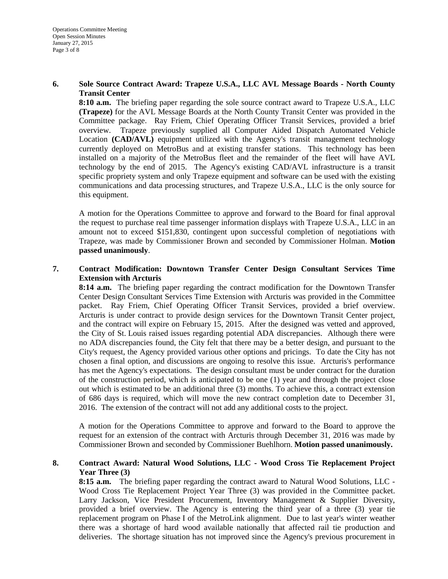#### **6. Sole Source Contract Award: Trapeze U.S.A., LLC AVL Message Boards - North County Transit Center**

**8:10 a.m.** The briefing paper regarding the sole source contract award to Trapeze U.S.A., LLC **(Trapeze)** for the AVL Message Boards at the North County Transit Center was provided in the Committee package. Ray Friem, Chief Operating Officer Transit Services, provided a brief overview. Trapeze previously supplied all Computer Aided Dispatch Automated Vehicle Location **(CAD/AVL)** equipment utilized with the Agency's transit management technology currently deployed on MetroBus and at existing transfer stations. This technology has been installed on a majority of the MetroBus fleet and the remainder of the fleet will have AVL technology by the end of 2015. The Agency's existing CAD/AVL infrastructure is a transit specific propriety system and only Trapeze equipment and software can be used with the existing communications and data processing structures, and Trapeze U.S.A., LLC is the only source for this equipment.

A motion for the Operations Committee to approve and forward to the Board for final approval the request to purchase real time passenger information displays with Trapeze U.S.A., LLC in an amount not to exceed \$151,830, contingent upon successful completion of negotiations with Trapeze, was made by Commissioner Brown and seconded by Commissioner Holman. **Motion passed unanimously**.

**7. Contract Modification: Downtown Transfer Center Design Consultant Services Time Extension with Arcturis** 

**8:14 a.m.** The briefing paper regarding the contract modification for the Downtown Transfer Center Design Consultant Services Time Extension with Arcturis was provided in the Committee packet. Ray Friem, Chief Operating Officer Transit Services, provided a brief overview. Arcturis is under contract to provide design services for the Downtown Transit Center project, and the contract will expire on February 15, 2015. After the designed was vetted and approved, the City of St. Louis raised issues regarding potential ADA discrepancies. Although there were no ADA discrepancies found, the City felt that there may be a better design, and pursuant to the City's request, the Agency provided various other options and pricings. To date the City has not chosen a final option, and discussions are ongoing to resolve this issue. Arcturis's performance has met the Agency's expectations. The design consultant must be under contract for the duration of the construction period, which is anticipated to be one (1) year and through the project close out which is estimated to be an additional three (3) months. To achieve this, a contract extension of 686 days is required, which will move the new contract completion date to December 31, 2016. The extension of the contract will not add any additional costs to the project.

A motion for the Operations Committee to approve and forward to the Board to approve the request for an extension of the contract with Arcturis through December 31, 2016 was made by Commissioner Brown and seconded by Commissioner Buehlhorn. **Motion passed unanimously.** 

# **8. Contract Award: Natural Wood Solutions, LLC - Wood Cross Tie Replacement Project Year Three (3)**

**8:15 a.m.** The briefing paper regarding the contract award to Natural Wood Solutions, LLC - Wood Cross Tie Replacement Project Year Three (3) was provided in the Committee packet. Larry Jackson, Vice President Procurement, Inventory Management & Supplier Diversity, provided a brief overview. The Agency is entering the third year of a three (3) year tie replacement program on Phase I of the MetroLink alignment. Due to last year's winter weather there was a shortage of hard wood available nationally that affected rail tie production and deliveries. The shortage situation has not improved since the Agency's previous procurement in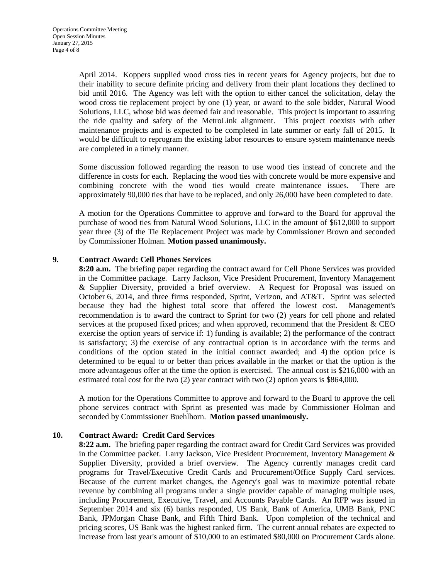April 2014. Koppers supplied wood cross ties in recent years for Agency projects, but due to their inability to secure definite pricing and delivery from their plant locations they declined to bid until 2016. The Agency was left with the option to either cancel the solicitation, delay the wood cross tie replacement project by one (1) year, or award to the sole bidder, Natural Wood Solutions, LLC, whose bid was deemed fair and reasonable. This project is important to assuring the ride quality and safety of the MetroLink alignment. This project coexists with other maintenance projects and is expected to be completed in late summer or early fall of 2015. It would be difficult to reprogram the existing labor resources to ensure system maintenance needs are completed in a timely manner.

Some discussion followed regarding the reason to use wood ties instead of concrete and the difference in costs for each. Replacing the wood ties with concrete would be more expensive and combining concrete with the wood ties would create maintenance issues. There are approximately 90,000 ties that have to be replaced, and only 26,000 have been completed to date.

A motion for the Operations Committee to approve and forward to the Board for approval the purchase of wood ties from Natural Wood Solutions, LLC in the amount of \$612,000 to support year three (3) of the Tie Replacement Project was made by Commissioner Brown and seconded by Commissioner Holman. **Motion passed unanimously.**

## **9. Contract Award: Cell Phones Services**

**8:20 a.m.** The briefing paper regarding the contract award for Cell Phone Services was provided in the Committee package. Larry Jackson, Vice President Procurement, Inventory Management & Supplier Diversity, provided a brief overview. A Request for Proposal was issued on October 6, 2014, and three firms responded, Sprint, Verizon, and AT&T. Sprint was selected because they had the highest total score that offered the lowest cost. Management's recommendation is to award the contract to Sprint for two (2) years for cell phone and related services at the proposed fixed prices; and when approved, recommend that the President & CEO exercise the option years of service if: 1) funding is available; 2) the performance of the contract is satisfactory; 3) the exercise of any contractual option is in accordance with the terms and conditions of the option stated in the initial contract awarded; and 4) the option price is determined to be equal to or better than prices available in the market or that the option is the more advantageous offer at the time the option is exercised. The annual cost is \$216,000 with an estimated total cost for the two (2) year contract with two (2) option years is \$864,000.

A motion for the Operations Committee to approve and forward to the Board to approve the cell phone services contract with Sprint as presented was made by Commissioner Holman and seconded by Commissioner Buehlhorn. **Motion passed unanimously.** 

## **10. Contract Award: Credit Card Services**

**8:22 a.m.** The briefing paper regarding the contract award for Credit Card Services was provided in the Committee packet. Larry Jackson, Vice President Procurement, Inventory Management  $\&$ Supplier Diversity, provided a brief overview. The Agency currently manages credit card programs for Travel/Executive Credit Cards and Procurement/Office Supply Card services. Because of the current market changes, the Agency's goal was to maximize potential rebate revenue by combining all programs under a single provider capable of managing multiple uses, including Procurement, Executive, Travel, and Accounts Payable Cards. An RFP was issued in September 2014 and six (6) banks responded, US Bank, Bank of America, UMB Bank, PNC Bank, JPMorgan Chase Bank, and Fifth Third Bank. Upon completion of the technical and pricing scores, US Bank was the highest ranked firm. The current annual rebates are expected to increase from last year's amount of \$10,000 to an estimated \$80,000 on Procurement Cards alone.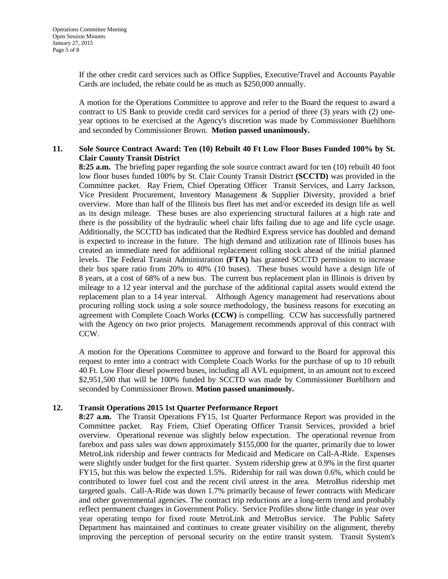If the other credit card services such as Office Supplies, Executive/Travel and Accounts Payable Cards are included, the rebate could be as much as \$250,000 annually.

A motion for the Operations Committee to approve and refer to the Board the request to award a contract to US Bank to provide credit card services for a period of three (3) years with (2) oneyear options to be exercised at the Agency's discretion was made by Commissioner Buehlhorn and seconded by Commissioner Brown. **Motion passed unanimously.**

# **11. Sole Source Contract Award: Ten (10) Rebuilt 40 Ft Low Floor Buses Funded 100% by St. Clair County Transit District**

**8:25 a.m.** The briefing paper regarding the sole source contract award for ten (10) rebuilt 40 foot low floor buses funded 100% by St. Clair County Transit District **(SCCTD)** was provided in the Committee packet. Ray Friem, Chief Operating Officer Transit Services, and Larry Jackson, Vice President Procurement, Inventory Management & Supplier Diversity, provided a brief overview. More than half of the Illinois bus fleet has met and/or exceeded its design life as well as its design mileage. These buses are also experiencing structural failures at a high rate and there is the possibility of the hydraulic wheel chair lifts failing due to age and life cycle usage. Additionally, the SCCTD has indicated that the Redbird Express service has doubled and demand is expected to increase in the future. The high demand and utilization rate of Illinois buses has created an immediate need for additional replacement rolling stock ahead of the initial planned levels. The Federal Transit Administration **(FTA)** has granted SCCTD permission to increase their bus spare ratio from 20% to 40% (10 buses). These buses would have a design life of 8 years, at a cost of 68% of a new bus. The current bus replacement plan in Illinois is driven by mileage to a 12 year interval and the purchase of the additional capital assets would extend the replacement plan to a 14 year interval. Although Agency management had reservations about procuring rolling stock using a sole source methodology, the business reasons for executing an agreement with Complete Coach Works **(CCW)** is compelling. CCW has successfully partnered with the Agency on two prior projects. Management recommends approval of this contract with CCW.

A motion for the Operations Committee to approve and forward to the Board for approval this request to enter into a contract with Complete Coach Works for the purchase of up to 10 rebuilt 40 Ft. Low Floor diesel powered buses, including all AVL equipment, in an amount not to exceed \$2,951,500 that will be 100% funded by SCCTD was made by Commissioner Buehlhorn and seconded by Commissioner Brown. **Motion passed unanimously.**

## **12. Transit Operations 2015 1st Quarter Performance Report**

**8:27 a.m.** The Transit Operations FY15, 1st Quarter Performance Report was provided in the Committee packet. Ray Friem, Chief Operating Officer Transit Services, provided a brief overview. Operational revenue was slightly below expectation. The operational revenue from farebox and pass sales was down approximately \$155,000 for the quarter, primarily due to lower MetroLink ridership and fewer contracts for Medicaid and Medicare on Call-A-Ride. Expenses were slightly under budget for the first quarter. System ridership grew at 0.9% in the first quarter FY15, but this was below the expected 1.5%. Ridership for rail was down 0.6%, which could be contributed to lower fuel cost and the recent civil unrest in the area. MetroBus ridership met targeted goals. Call-A-Ride was down 1.7% primarily because of fewer contracts with Medicare and other governmental agencies. The contract trip reductions are a long-term trend and probably reflect permanent changes in Government Policy. Service Profiles show little change in year over year operating tempo for fixed route MetroLink and MetroBus service. The Public Safety Department has maintained and continues to create greater visibility on the alignment, thereby improving the perception of personal security on the entire transit system. Transit System's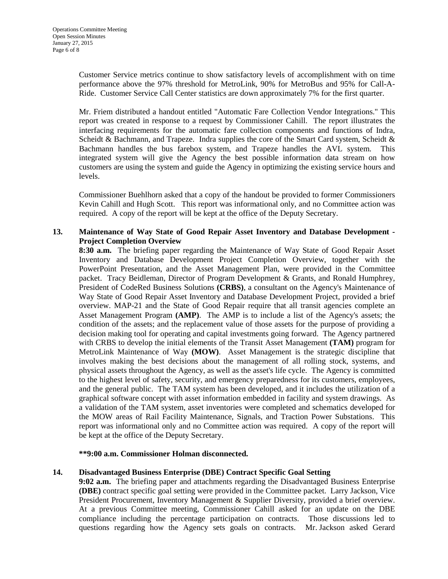Customer Service metrics continue to show satisfactory levels of accomplishment with on time performance above the 97% threshold for MetroLink, 90% for MetroBus and 95% for Call-A-Ride. Customer Service Call Center statistics are down approximately 7% for the first quarter.

 Mr. Friem distributed a handout entitled "Automatic Fare Collection Vendor Integrations." This report was created in response to a request by Commissioner Cahill. The report illustrates the interfacing requirements for the automatic fare collection components and functions of Indra, Scheidt & Bachmann, and Trapeze. Indra supplies the core of the Smart Card system, Scheidt & Bachmann handles the bus farebox system, and Trapeze handles the AVL system. This integrated system will give the Agency the best possible information data stream on how customers are using the system and guide the Agency in optimizing the existing service hours and levels.

Commissioner Buehlhorn asked that a copy of the handout be provided to former Commissioners Kevin Cahill and Hugh Scott. This report was informational only, and no Committee action was required. A copy of the report will be kept at the office of the Deputy Secretary.

## **13. Maintenance of Way State of Good Repair Asset Inventory and Database Development - Project Completion Overview**

**8:30 a.m.** The briefing paper regarding the Maintenance of Way State of Good Repair Asset Inventory and Database Development Project Completion Overview, together with the PowerPoint Presentation, and the Asset Management Plan, were provided in the Committee packet. Tracy Beidleman, Director of Program Development & Grants, and Ronald Humphrey, President of CodeRed Business Solutions **(CRBS)**, a consultant on the Agency's Maintenance of Way State of Good Repair Asset Inventory and Database Development Project, provided a brief overview. MAP-21 and the State of Good Repair require that all transit agencies complete an Asset Management Program **(AMP)**. The AMP is to include a list of the Agency's assets; the condition of the assets; and the replacement value of those assets for the purpose of providing a decision making tool for operating and capital investments going forward. The Agency partnered with CRBS to develop the initial elements of the Transit Asset Management **(TAM)** program for MetroLink Maintenance of Way **(MOW)**. Asset Management is the strategic discipline that involves making the best decisions about the management of all rolling stock, systems, and physical assets throughout the Agency, as well as the asset's life cycle. The Agency is committed to the highest level of safety, security, and emergency preparedness for its customers, employees, and the general public. The TAM system has been developed, and it includes the utilization of a graphical software concept with asset information embedded in facility and system drawings. As a validation of the TAM system, asset inventories were completed and schematics developed for the MOW areas of Rail Facility Maintenance, Signals, and Traction Power Substations. This report was informational only and no Committee action was required. A copy of the report will be kept at the office of the Deputy Secretary.

# **\*\*9:00 a.m. Commissioner Holman disconnected.**

## **14. Disadvantaged Business Enterprise (DBE) Contract Specific Goal Setting**

**9:02 a.m.** The briefing paper and attachments regarding the Disadvantaged Business Enterprise **(DBE)** contract specific goal setting were provided in the Committee packet. Larry Jackson, Vice President Procurement, Inventory Management & Supplier Diversity, provided a brief overview. At a previous Committee meeting, Commissioner Cahill asked for an update on the DBE compliance including the percentage participation on contracts. Those discussions led to questions regarding how the Agency sets goals on contracts. Mr. Jackson asked Gerard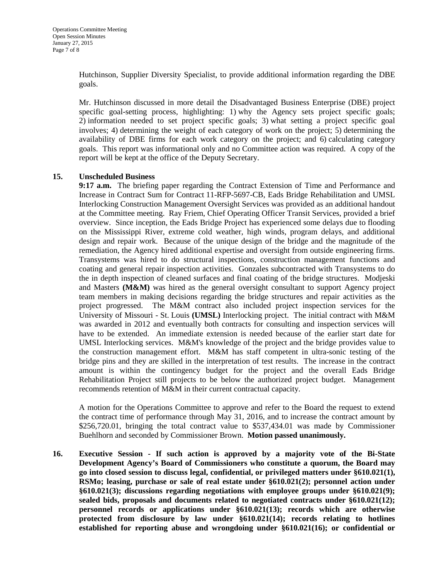Hutchinson, Supplier Diversity Specialist, to provide additional information regarding the DBE goals.

Mr. Hutchinson discussed in more detail the Disadvantaged Business Enterprise (DBE) project specific goal-setting process, highlighting: 1) why the Agency sets project specific goals; 2) information needed to set project specific goals; 3) what setting a project specific goal involves; 4) determining the weight of each category of work on the project; 5) determining the availability of DBE firms for each work category on the project; and 6) calculating category goals. This report was informational only and no Committee action was required. A copy of the report will be kept at the office of the Deputy Secretary.

## **15. Unscheduled Business**

**9:17 a.m.** The briefing paper regarding the Contract Extension of Time and Performance and Increase in Contract Sum for Contract 11-RFP-5697-CB, Eads Bridge Rehabilitation and UMSL Interlocking Construction Management Oversight Services was provided as an additional handout at the Committee meeting. Ray Friem, Chief Operating Officer Transit Services, provided a brief overview. Since inception, the Eads Bridge Project has experienced some delays due to flooding on the Mississippi River, extreme cold weather, high winds, program delays, and additional design and repair work. Because of the unique design of the bridge and the magnitude of the remediation, the Agency hired additional expertise and oversight from outside engineering firms. Transystems was hired to do structural inspections, construction management functions and coating and general repair inspection activities. Gonzales subcontracted with Transystems to do the in depth inspection of cleaned surfaces and final coating of the bridge structures. Modjeski and Masters **(M&M)** was hired as the general oversight consultant to support Agency project team members in making decisions regarding the bridge structures and repair activities as the project progressed. The M&M contract also included project inspection services for the University of Missouri - St. Louis **(UMSL)** Interlocking project. The initial contract with M&M was awarded in 2012 and eventually both contracts for consulting and inspection services will have to be extended. An immediate extension is needed because of the earlier start date for UMSL Interlocking services. M&M's knowledge of the project and the bridge provides value to the construction management effort. M&M has staff competent in ultra-sonic testing of the bridge pins and they are skilled in the interpretation of test results. The increase in the contract amount is within the contingency budget for the project and the overall Eads Bridge Rehabilitation Project still projects to be below the authorized project budget. Management recommends retention of M&M in their current contractual capacity.

A motion for the Operations Committee to approve and refer to the Board the request to extend the contract time of performance through May 31, 2016, and to increase the contract amount by \$256,720.01, bringing the total contract value to \$537,434.01 was made by Commissioner Buehlhorn and seconded by Commissioner Brown. **Motion passed unanimously.** 

**16. Executive Session - If such action is approved by a majority vote of the Bi-State Development Agency's Board of Commissioners who constitute a quorum, the Board may go into closed session to discuss legal, confidential, or privileged matters under §610.021(1), RSMo; leasing, purchase or sale of real estate under §610.021(2); personnel action under §610.021(3); discussions regarding negotiations with employee groups under §610.021(9); sealed bids, proposals and documents related to negotiated contracts under §610.021(12); personnel records or applications under §610.021(13); records which are otherwise protected from disclosure by law under §610.021(14); records relating to hotlines established for reporting abuse and wrongdoing under §610.021(16); or confidential or**